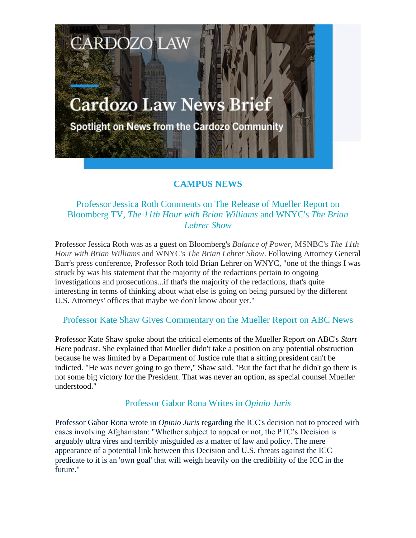# **Cardozo Law News Brief**

**CARDOZO LAW** 

Spotlight on News from the Cardozo Community

# **CAMPUS NEWS**

## Professor Jessica Roth Comments on The Release of Mueller Report on Bloomberg TV, *The 11th Hour with Brian Williams* and WNYC's *The Brian Lehrer Show*

Professor Jessica Roth was as a guest on Bloomberg's *Balance of Power*, MSNBC's *The 11th Hour with Brian Williams* and WNYC's *The Brian Lehrer Show*. Following Attorney General Barr's press conference, Professor Roth told Brian Lehrer on WNYC, "one of the things I was struck by was his statement that the majority of the redactions pertain to ongoing investigations and prosecutions...if that's the majority of the redactions, that's quite interesting in terms of thinking about what else is going on being pursued by the different U.S. Attorneys' offices that maybe we don't know about yet."

## Professor Kate Shaw Gives Commentary on the Mueller Report on ABC News

Professor Kate Shaw spoke about the critical elements of the Mueller Report on ABC's *Start Here* podcast. She explained that Mueller didn't take a position on any potential obstruction because he was limited by a Department of Justice rule that a sitting president can't be indicted. "He was never going to go there," Shaw said. "But the fact that he didn't go there is not some big victory for the President. That was never an option, as special counsel Mueller understood."

#### Professor Gabor Rona Writes in *Opinio Juris*

Professor Gabor Rona wrote in *Opinio Juris* regarding the ICC's decision not to proceed with cases involving Afghanistan: "Whether subject to appeal or not, the PTC's Decision is arguably ultra vires and terribly misguided as a matter of law and policy. The mere appearance of a potential link between this Decision and U.S. threats against the ICC predicate to it is an 'own goal' that will weigh heavily on the credibility of the ICC in the future."